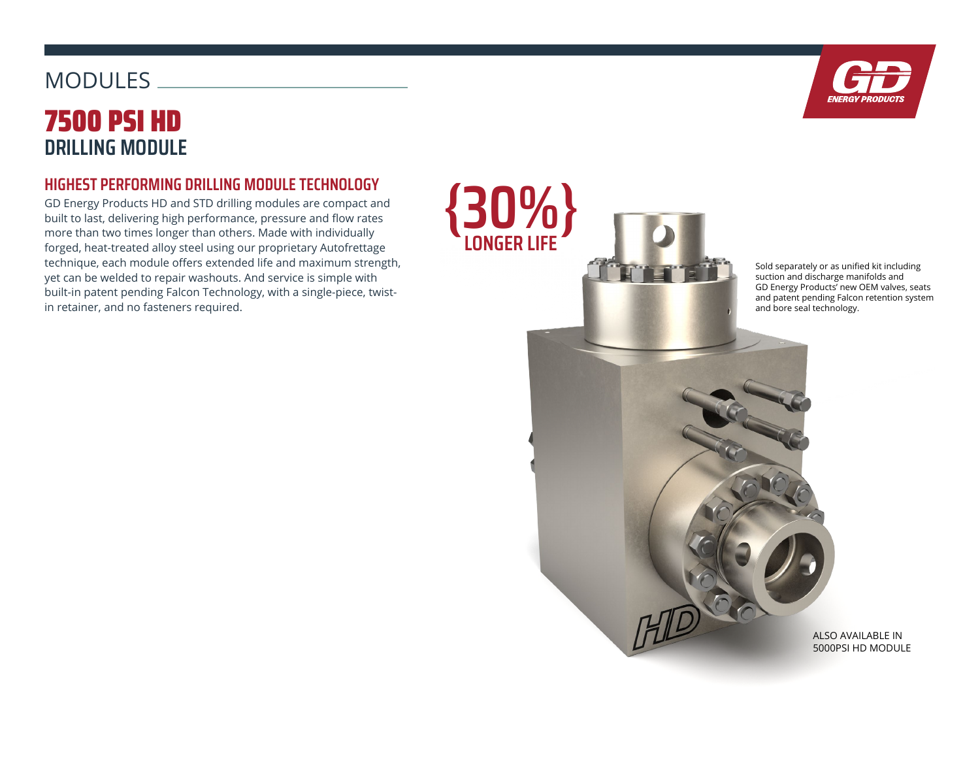# 7500 PSI HD **DRILLING MODULE MODULES**

### **HIGHEST PERFORMING DRILLING MODULE TECHNOLOGY**

GD Energy Products HD and STD drilling modules are compact and built to last, delivering high performance, pressure and flow rates more than two times longer than others. Made with individually forged, heat-treated alloy steel using our proprietary Autofrettage technique, each module offers extended life and maximum strength, yet can be welded to repair washouts. And service is simple with built-in patent pending Falcon Technology, with a single-piece, twistin retainer, and no fasteners required.



Sold separately or as unified kit including suction and discharge manifolds and GD Energy Products' new OEM valves, seats and patent pending Falcon retention system and bore seal technology.

> ALSO AVAILABLE IN 5000PSI HD MODULE